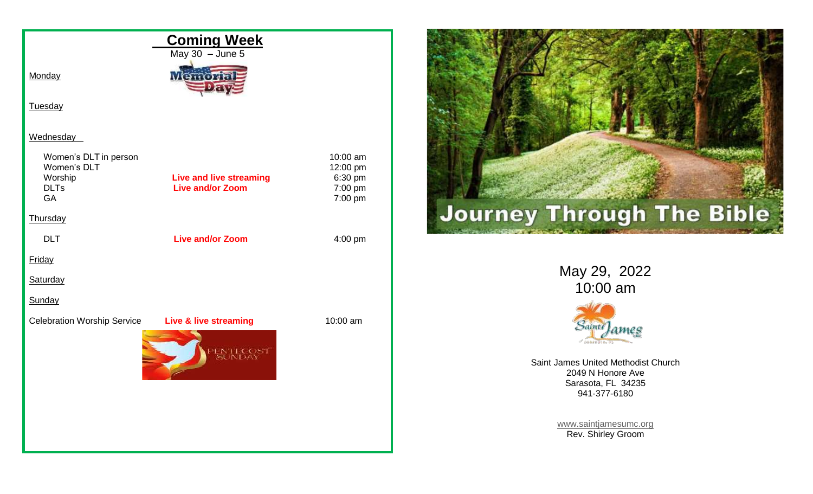



May 29, 2022 10:00 am



Saint James United Methodist Church 2049 N Honore Ave Sarasota, FL 34235 941-377-6180

> [www.saintjamesumc.org](http://www.saintjamesumc.org/) Rev. Shirley Groom